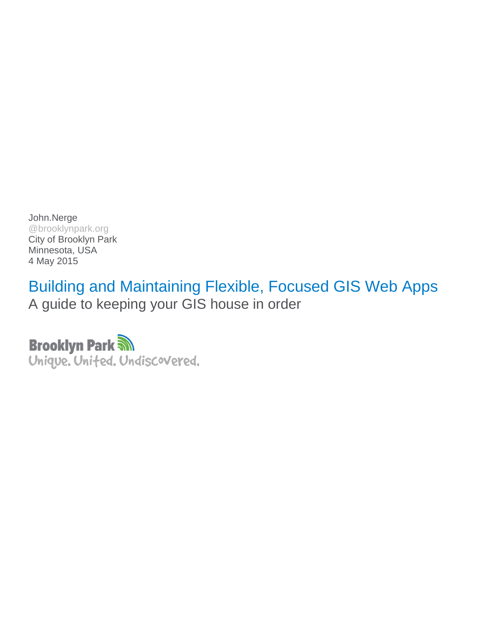John.Nerge @brooklynpark.org City of Brooklyn Park Minnesota, USA 4 May 2015

Building and Maintaining Flexible, Focused GIS Web Apps A guide to keeping your GIS house in order

**Brooklyn Park M** Unique. Unifed. Undiscovered.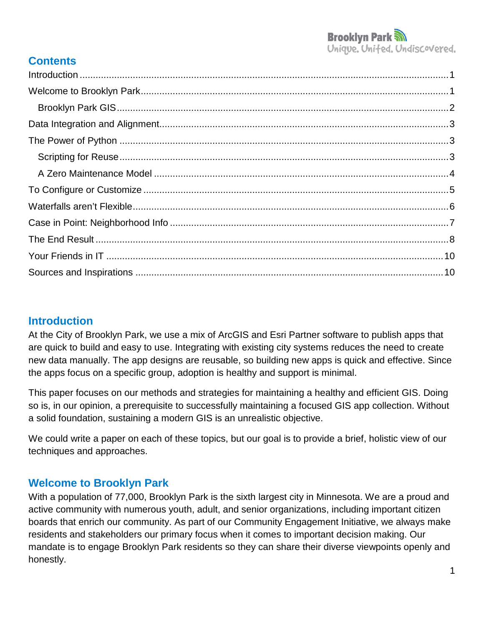## **Contents**

## <span id="page-1-0"></span>**Introduction**

At the City of Brooklyn Park, we use a mix of ArcGIS and Esri Partner software to publish apps that are quick to build and easy to use. Integrating with existing city systems reduces the need to create new data manually. The app designs are reusable, so building new apps is quick and effective. Since the apps focus on a specific group, adoption is healthy and support is minimal.

This paper focuses on our methods and strategies for maintaining a healthy and efficient GIS. Doing so is, in our opinion, a prerequisite to successfully maintaining a focused GIS app collection. Without a solid foundation, sustaining a modern GIS is an unrealistic objective.

We could write a paper on each of these topics, but our goal is to provide a brief, holistic view of our techniques and approaches.

## <span id="page-1-1"></span>**Welcome to Brooklyn Park**

With a population of 77,000, Brooklyn Park is the sixth largest city in Minnesota. We are a proud and active community with numerous youth, adult, and senior organizations, including important citizen boards that enrich our community. As part of our Community Engagement Initiative, we always make residents and stakeholders our primary focus when it comes to important decision making. Our mandate is to engage Brooklyn Park residents so they can share their diverse viewpoints openly and honestly.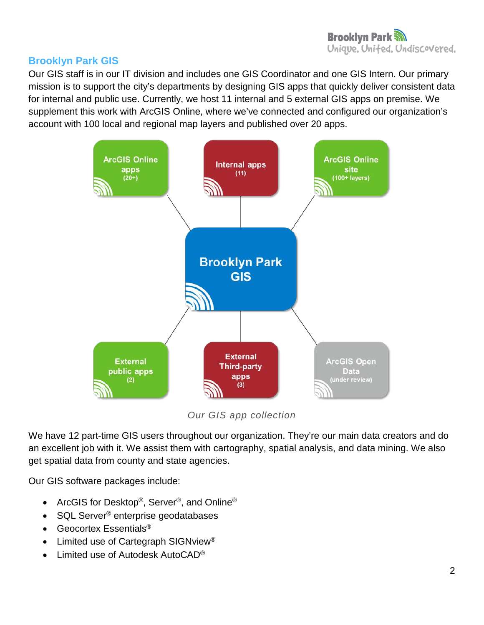### <span id="page-2-0"></span>**Brooklyn Park GIS**

Our GIS staff is in our IT division and includes one GIS Coordinator and one GIS Intern. Our primary mission is to support the city's departments by designing GIS apps that quickly deliver consistent data for internal and public use. Currently, we host 11 internal and 5 external GIS apps on premise. We supplement this work with ArcGIS Online, where we've connected and configured our organization's account with 100 local and regional map layers and published over 20 apps.



*Our GIS app collection*

We have 12 part-time GIS users throughout our organization. They're our main data creators and do an excellent job with it. We assist them with cartography, spatial analysis, and data mining. We also get spatial data from county and state agencies.

Our GIS software packages include:

- ArcGIS for Desktop<sup>®</sup>, Server<sup>®</sup>, and Online<sup>®</sup>
- SQL Server<sup>®</sup> enterprise geodatabases
- Geocortex Essentials<sup>®</sup>
- Limited use of Cartegraph SIGNview<sup>®</sup>
- Limited use of Autodesk AutoCAD®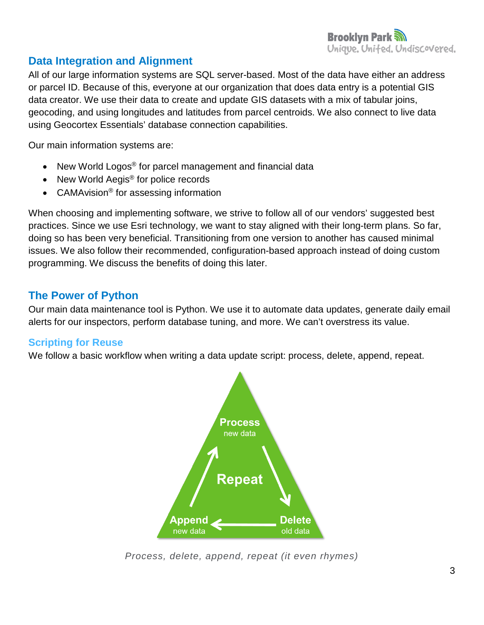# <span id="page-3-0"></span>**Data Integration and Alignment**

All of our large information systems are SQL server-based. Most of the data have either an address or parcel ID. Because of this, everyone at our organization that does data entry is a potential GIS data creator. We use their data to create and update GIS datasets with a mix of tabular joins, geocoding, and using longitudes and latitudes from parcel centroids. We also connect to live data using Geocortex Essentials' database connection capabilities.

Our main information systems are:

- New World Logos<sup>®</sup> for parcel management and financial data
- New World Aegis<sup>®</sup> for police records
- CAMAvision<sup>®</sup> for assessing information

When choosing and implementing software, we strive to follow all of our vendors' suggested best practices. Since we use Esri technology, we want to stay aligned with their long-term plans. So far, doing so has been very beneficial. Transitioning from one version to another has caused minimal issues. We also follow their recommended, configuration-based approach instead of doing custom programming. We discuss the benefits of doing this later.

## <span id="page-3-1"></span>**The Power of Python**

Our main data maintenance tool is Python. We use it to automate data updates, generate daily email alerts for our inspectors, perform database tuning, and more. We can't overstress its value.

### <span id="page-3-2"></span>**Scripting for Reuse**

We follow a basic workflow when writing a data update script: process, delete, append, repeat.



*Process, delete, append, repeat (it even rhymes)*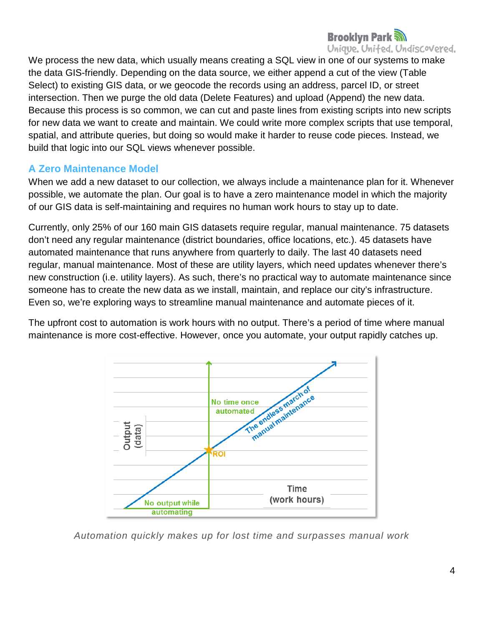## **Brooklyn Park Solution** Unique. United. Undiscovered.

We process the new data, which usually means creating a SQL view in one of our systems to make the data GIS-friendly. Depending on the data source, we either append a cut of the view (Table Select) to existing GIS data, or we geocode the records using an address, parcel ID, or street intersection. Then we purge the old data (Delete Features) and upload (Append) the new data. Because this process is so common, we can cut and paste lines from existing scripts into new scripts for new data we want to create and maintain. We could write more complex scripts that use temporal, spatial, and attribute queries, but doing so would make it harder to reuse code pieces. Instead, we build that logic into our SQL views whenever possible.

### <span id="page-4-0"></span>**A Zero Maintenance Model**

When we add a new dataset to our collection, we always include a maintenance plan for it. Whenever possible, we automate the plan. Our goal is to have a zero maintenance model in which the majority of our GIS data is self-maintaining and requires no human work hours to stay up to date.

Currently, only 25% of our 160 main GIS datasets require regular, manual maintenance. 75 datasets don't need any regular maintenance (district boundaries, office locations, etc.). 45 datasets have automated maintenance that runs anywhere from quarterly to daily. The last 40 datasets need regular, manual maintenance. Most of these are utility layers, which need updates whenever there's new construction (i.e. utility layers). As such, there's no practical way to automate maintenance since someone has to create the new data as we install, maintain, and replace our city's infrastructure. Even so, we're exploring ways to streamline manual maintenance and automate pieces of it.

The upfront cost to automation is work hours with no output. There's a period of time where manual maintenance is more cost-effective. However, once you automate, your output rapidly catches up.



*Automation quickly makes up for lost time and surpasses manual work*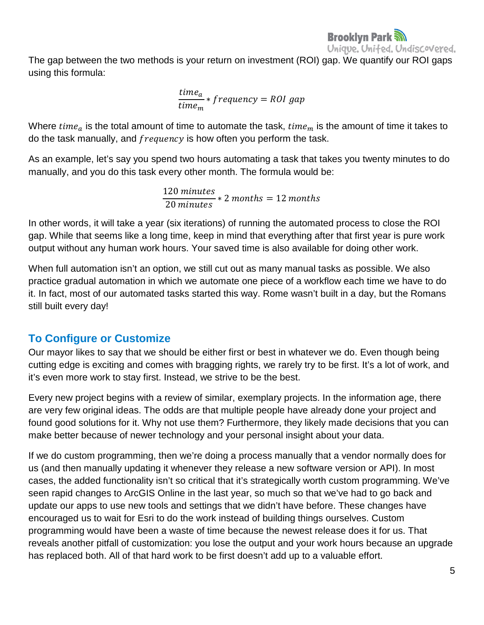

The gap between the two methods is your return on investment (ROI) gap. We quantify our ROI gaps using this formula:

> $\textit{time}_a$ tıme $_{m}$  $*$   $f$ requency = ROI gap

Where  $time_a$  is the total amount of time to automate the task,  $time_m$  is the amount of time it takes to do the task manually, and *frequency* is how often you perform the task.

As an example, let's say you spend two hours automating a task that takes you twenty minutes to do manually, and you do this task every other month. The formula would be:

> 120  $\overline{20 \text{ minutes}}$  \* 2 months = 12 month

In other words, it will take a year (six iterations) of running the automated process to close the ROI gap. While that seems like a long time, keep in mind that everything after that first year is pure work output without any human work hours. Your saved time is also available for doing other work.

When full automation isn't an option, we still cut out as many manual tasks as possible. We also practice gradual automation in which we automate one piece of a workflow each time we have to do it. In fact, most of our automated tasks started this way. Rome wasn't built in a day, but the Romans still built every day!

## <span id="page-5-0"></span>**To Configure or Customize**

Our mayor likes to say that we should be either first or best in whatever we do. Even though being cutting edge is exciting and comes with bragging rights, we rarely try to be first. It's a lot of work, and it's even more work to stay first. Instead, we strive to be the best.

Every new project begins with a review of similar, exemplary projects. In the information age, there are very few original ideas. The odds are that multiple people have already done your project and found good solutions for it. Why not use them? Furthermore, they likely made decisions that you can make better because of newer technology and your personal insight about your data.

If we do custom programming, then we're doing a process manually that a vendor normally does for us (and then manually updating it whenever they release a new software version or API). In most cases, the added functionality isn't so critical that it's strategically worth custom programming. We've seen rapid changes to ArcGIS Online in the last year, so much so that we've had to go back and update our apps to use new tools and settings that we didn't have before. These changes have encouraged us to wait for Esri to do the work instead of building things ourselves. Custom programming would have been a waste of time because the newest release does it for us. That reveals another pitfall of customization: you lose the output and your work hours because an upgrade has replaced both. All of that hard work to be first doesn't add up to a valuable effort.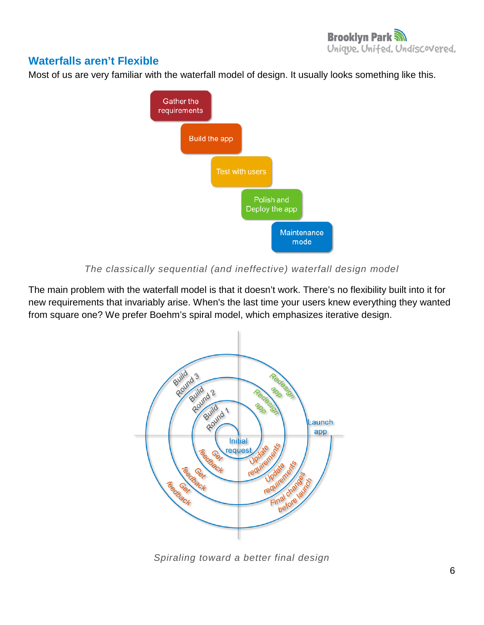## <span id="page-6-0"></span>**Waterfalls aren't Flexible**

Most of us are very familiar with the waterfall model of design. It usually looks something like this.



#### *The classically sequential (and ineffective) waterfall design model*

The main problem with the waterfall model is that it doesn't work. There's no flexibility built into it for new requirements that invariably arise. When's the last time your users knew everything they wanted from square one? We prefer Boehm's spiral model, which emphasizes iterative design.



*Spiraling toward a better final design*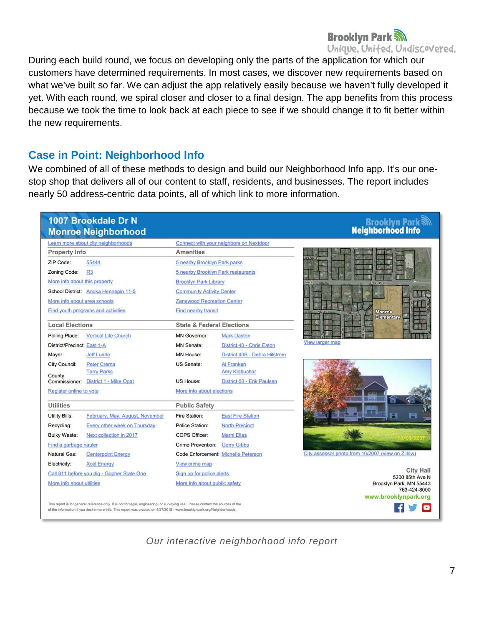### **Brooklyn Park M** Unique. United. Undiscovered.

During each build round, we focus on developing only the parts of the application for which our customers have determined requirements. In most cases, we discover new requirements based on what we've built so far. We can adjust the app relatively easily because we haven't fully developed it yet. With each round, we spiral closer and closer to a final design. The app benefits from this process because we took the time to look back at each piece to see if we should change it to fit better within the new requirements.

### <span id="page-7-0"></span>**Case in Point: Neighborhood Info**

We combined of all of these methods to design and build our Neighborhood Info app. It's our onestop shop that delivers all of our content to staff, residents, and businesses. The report includes nearly 50 address-centric data points, all of which link to more information.



*Our interactive neighborhood info report*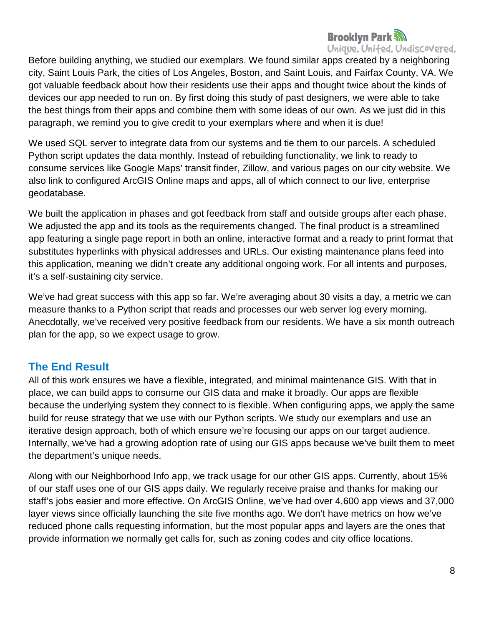### **Brooklyn Park** Unique. United. Undiscovered.

Before building anything, we studied our exemplars. We found similar apps created by a neighboring city, Saint Louis Park, the cities of Los Angeles, Boston, and Saint Louis, and Fairfax County, VA. We got valuable feedback about how their residents use their apps and thought twice about the kinds of devices our app needed to run on. By first doing this study of past designers, we were able to take the best things from their apps and combine them with some ideas of our own. As we just did in this paragraph, we remind you to give credit to your exemplars where and when it is due!

We used SQL server to integrate data from our systems and tie them to our parcels. A scheduled Python script updates the data monthly. Instead of rebuilding functionality, we link to ready to consume services like Google Maps' transit finder, Zillow, and various pages on our city website. We also link to configured ArcGIS Online maps and apps, all of which connect to our live, enterprise geodatabase.

We built the application in phases and got feedback from staff and outside groups after each phase. We adjusted the app and its tools as the requirements changed. The final product is a streamlined app featuring a single page report in both an online, interactive format and a ready to print format that substitutes hyperlinks with physical addresses and URLs. Our existing maintenance plans feed into this application, meaning we didn't create any additional ongoing work. For all intents and purposes, it's a self-sustaining city service.

We've had great success with this app so far. We're averaging about 30 visits a day, a metric we can measure thanks to a Python script that reads and processes our web server log every morning. Anecdotally, we've received very positive feedback from our residents. We have a six month outreach plan for the app, so we expect usage to grow.

## <span id="page-8-0"></span>**The End Result**

All of this work ensures we have a flexible, integrated, and minimal maintenance GIS. With that in place, we can build apps to consume our GIS data and make it broadly. Our apps are flexible because the underlying system they connect to is flexible. When configuring apps, we apply the same build for reuse strategy that we use with our Python scripts. We study our exemplars and use an iterative design approach, both of which ensure we're focusing our apps on our target audience. Internally, we've had a growing adoption rate of using our GIS apps because we've built them to meet the department's unique needs.

Along with our Neighborhood Info app, we track usage for our other GIS apps. Currently, about 15% of our staff uses one of our GIS apps daily. We regularly receive praise and thanks for making our staff's jobs easier and more effective. On ArcGIS Online, we've had over 4,600 app views and 37,000 layer views since officially launching the site five months ago. We don't have metrics on how we've reduced phone calls requesting information, but the most popular apps and layers are the ones that provide information we normally get calls for, such as zoning codes and city office locations.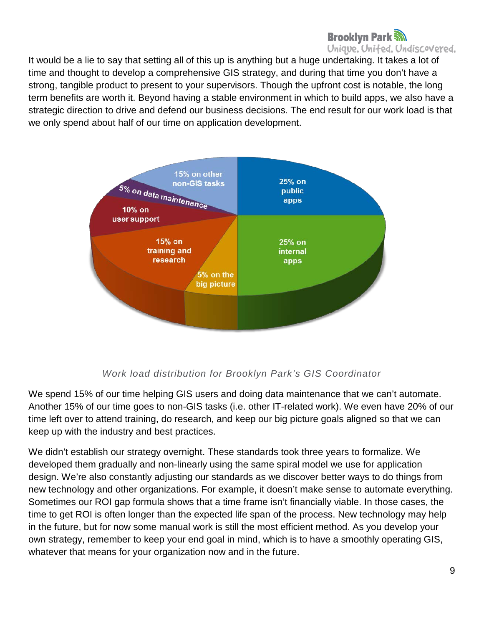## **Brooklyn Park Solution** Unique. United. Undiscovered.

It would be a lie to say that setting all of this up is anything but a huge undertaking. It takes a lot of time and thought to develop a comprehensive GIS strategy, and during that time you don't have a strong, tangible product to present to your supervisors. Though the upfront cost is notable, the long term benefits are worth it. Beyond having a stable environment in which to build apps, we also have a strategic direction to drive and defend our business decisions. The end result for our work load is that we only spend about half of our time on application development.



### *Work load distribution for Brooklyn Park's GIS Coordinator*

We spend 15% of our time helping GIS users and doing data maintenance that we can't automate. Another 15% of our time goes to non-GIS tasks (i.e. other IT-related work). We even have 20% of our time left over to attend training, do research, and keep our big picture goals aligned so that we can keep up with the industry and best practices.

We didn't establish our strategy overnight. These standards took three years to formalize. We developed them gradually and non-linearly using the same spiral model we use for application design. We're also constantly adjusting our standards as we discover better ways to do things from new technology and other organizations. For example, it doesn't make sense to automate everything. Sometimes our ROI gap formula shows that a time frame isn't financially viable. In those cases, the time to get ROI is often longer than the expected life span of the process. New technology may help in the future, but for now some manual work is still the most efficient method. As you develop your own strategy, remember to keep your end goal in mind, which is to have a smoothly operating GIS, whatever that means for your organization now and in the future.